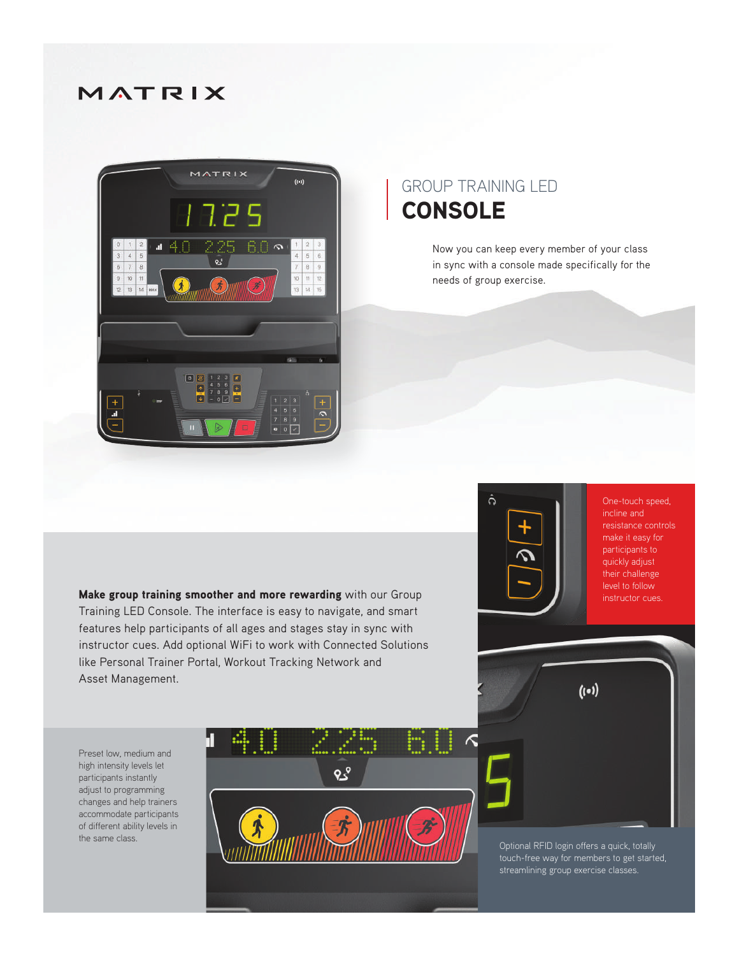## MATRIX



## GROUP TRAINING LED **CONSOLE**

Now you can keep every member of your class in sync with a console made specifically for the needs of group exercise.

Make group training smoother and more rewarding with our Group Training LED Console. The interface is easy to navigate, and smart features help participants of all ages and stages stay in sync with instructor cues. Add optional WiFi to work with Connected Solutions like Personal Trainer Portal, Workout Tracking Network and Asset Management.



One-touch speed, incline and make it easy for participants to quickly adjust their challenge level to follow instructor cues.

Preset low, medium and high intensity levels let participants instantly adjust to programming changes and help trainers accommodate participants of different ability levels in the same class.



Optional RFID login offers a quick, totally touch-free way for members to get started, streamlining group exercise classes.

 $(i \bullet i)$